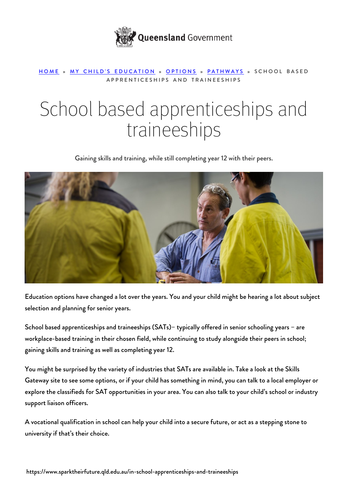

## [HOME](https://www.sparktheirfuture.qld.edu.au/) » [MY CHILD'S EDUCATION](https://www.sparktheirfuture.qld.edu.au/category/my-childs-school/) » [OPTIONS](https://www.sparktheirfuture.qld.edu.au/category/my-childs-school/options/) » [PATHWAYS](https://www.sparktheirfuture.qld.edu.au/category/my-childs-school/options/pathways/) » SCHOOL BASED APPRENTICESHIPS AND TRAINEESHIPS

## School based apprenticeships and traineeships

Gaining skills and training, while still completing year 12 with their peers.



Education options have changed a lot over the years. You and your child might be hearing a lot about subject selection and planning for senior years.

School based apprenticeships and traineeships (SATs)– typically offered in senior schooling years – are workplace-based training in their chosen field, while continuing to study alongside their peers in school; gaining skills and training as well as completing year 12.

You might be surprised by the variety of industries that SATs are available in. Take a look at the [Skills](http://skillsgateway.training.qld.gov.au/) [Gateway site](http://skillsgateway.training.qld.gov.au/) to see some options, or if your child has something in mind, you can talk to a local employer or explore the classifieds for SAT opportunities in your area. You can also talk to your child's school or industry support liaison officers.

A vocational qualification in school can help your child into a secure future, or act as a stepping stone to university if that's their choice.